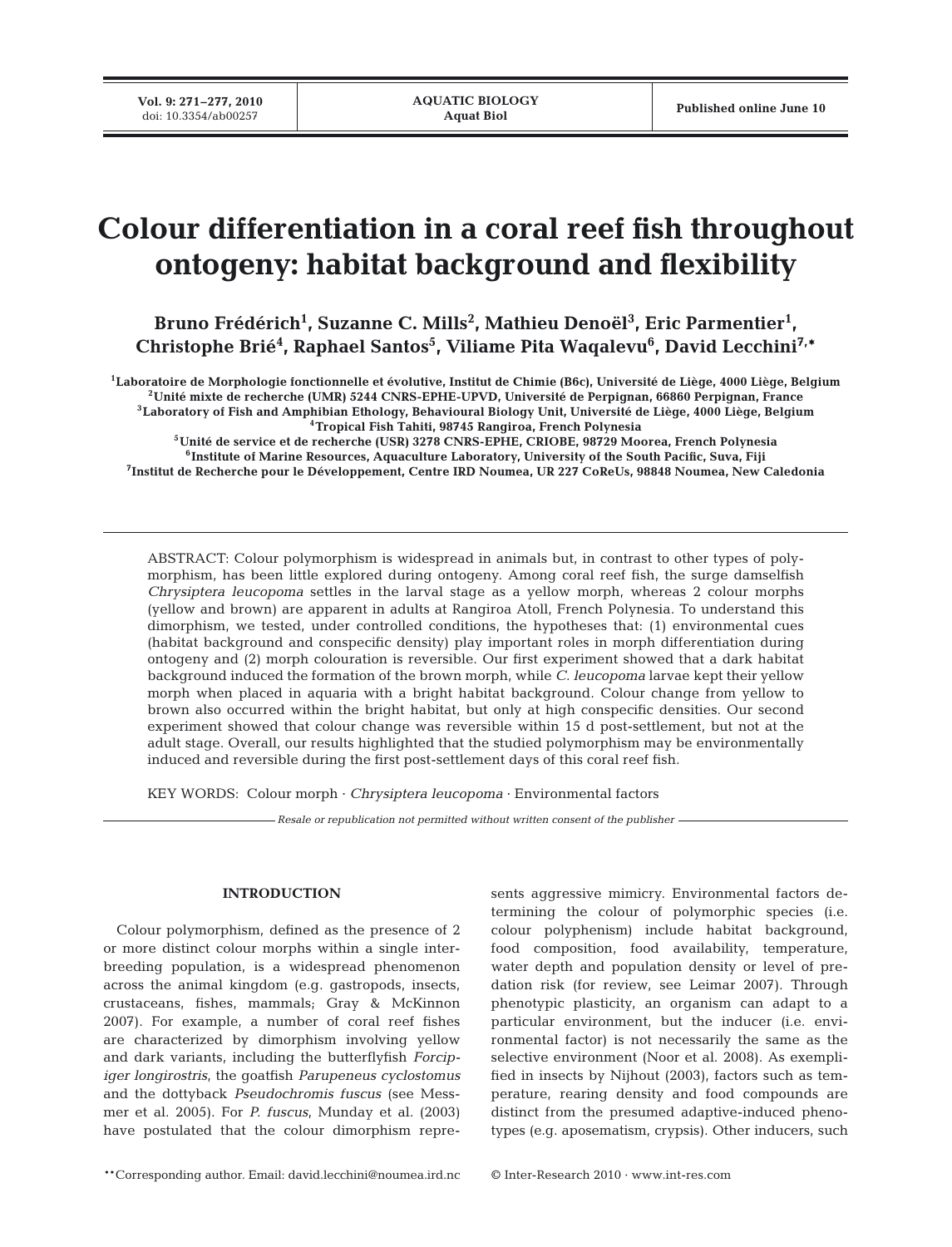# **Colour differentiation in a coral reef fish throughout ontogeny: habitat background and flexibility**

Bruno Frédérich<sup>1</sup>, Suzanne C. Mills<sup>2</sup>, Mathieu Denoël<sup>3</sup>, Eric Parmentier<sup>1</sup>, **Christophe Brié4 , Raphael Santos5 , Viliame Pita Waqalevu6 , David Lecchini7,\***

**1Laboratoire de Morphologie fonctionnelle et évolutive, Institut de Chimie (B6c), Université de Liège, 4000 Liège, Belgium 2Unité mixte de recherche (UMR) 5244 CNRS-EPHE-UPVD, Université de Perpignan, 66860 Perpignan, France 3Laboratory of Fish and Amphibian Ethology, Behavioural Biology Unit, Université de Liège, 4000 Liège, Belgium 4Tropical Fish Tahiti, 98745 Rangiroa, French Polynesia**

**5Unité de service et de recherche (USR) 3278 CNRS-EPHE, CRIOBE, 98729 Moorea, French Polynesia 6Institute of Marine Resources, Aquaculture Laboratory, University of the South Pacific, Suva, Fiji 7Institut de Recherche pour le Développement, Centre IRD Noumea, UR 227 CoReUs, 98848 Noumea, New Caledonia**

ABSTRACT: Colour polymorphism is widespread in animals but, in contrast to other types of polymorphism, has been little explored during ontogeny. Among coral reef fish, the surge damselfish *Chrysiptera leucopoma* settles in the larval stage as a yellow morph, whereas 2 colour morphs (yellow and brown) are apparent in adults at Rangiroa Atoll, French Polynesia. To understand this dimorphism, we tested, under controlled conditions, the hypotheses that: (1) environmental cues (habitat background and conspecific density) play important roles in morph differentiation during ontogeny and (2) morph colouration is reversible. Our first experiment showed that a dark habitat background induced the formation of the brown morph, while *C. leucopoma* larvae kept their yellow morph when placed in aquaria with a bright habitat background. Colour change from yellow to brown also occurred within the bright habitat, but only at high conspecific densities. Our second experiment showed that colour change was reversible within 15 d post-settlement, but not at the adult stage. Overall, our results highlighted that the studied polymorphism may be environmentally induced and reversible during the first post-settlement days of this coral reef fish.

KEY WORDS: Colour morph · *Chrysiptera leucopoma* · Environmental factors

*Resale or republication not permitted without written consent of the publisher*

# **INTRODUCTION**

Colour polymorphism, defined as the presence of 2 or more distinct colour morphs within a single interbreeding population, is a widespread phenomenon across the animal kingdom (e.g. gastropods, insects, crustaceans, fishes, mammals; Gray & McKinnon 2007). For example, a number of coral reef fishes are characterized by dimorphism involving yellow and dark variants, including the butterflyfish *Forcipiger longirostris*, the goatfish *Parupeneus cyclostomus* and the dottyback *Pseudochromis fuscus* (see Messmer et al. 2005). For *P. fuscus*, Munday et al. (2003) have postulated that the colour dimorphism represents aggressive mimicry. Environmental factors determining the colour of polymorphic species (i.e. colour polyphenism) include habitat background, food composition, food availability, temperature, water depth and population density or level of predation risk (for review, see Leimar 2007). Through phenotypic plasticity, an organism can adapt to a particular environment, but the inducer (i.e. environmental factor) is not necessarily the same as the selective environment (Noor et al. 2008). As exemplified in insects by Nijhout (2003), factors such as temperature, rearing density and food compounds are distinct from the presumed adaptive-induced phenotypes (e.g. aposematism, crypsis). Other inducers, such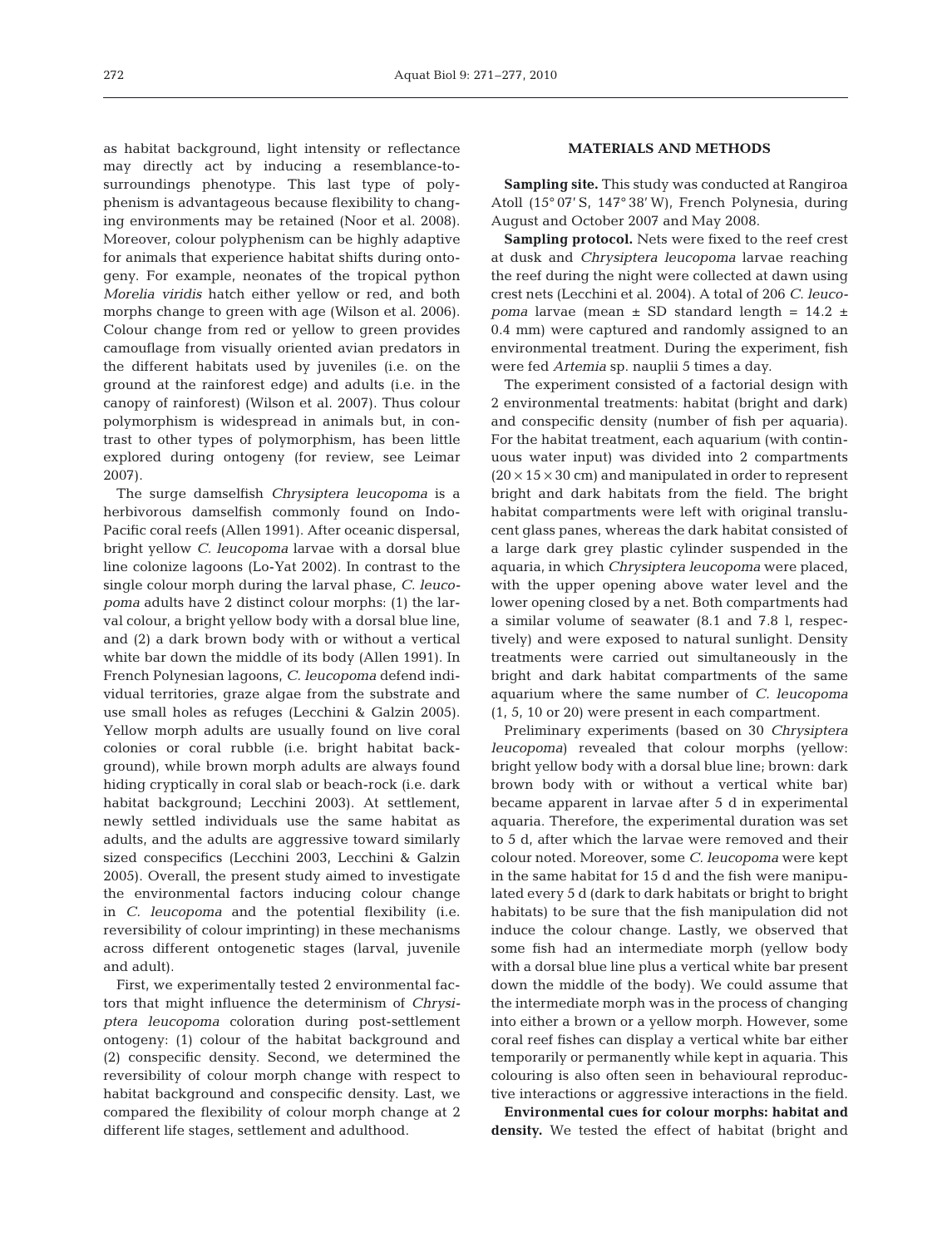as habitat background, light intensity or reflectance may directly act by inducing a resemblance-tosurroundings phenotype. This last type of polyphenism is advantageous because flexibility to changing environments may be retained (Noor et al. 2008). Moreover, colour polyphenism can be highly adaptive for animals that experience habitat shifts during ontogeny. For example, neonates of the tropical python *Morelia viridis* hatch either yellow or red, and both morphs change to green with age (Wilson et al. 2006). Colour change from red or yellow to green provides camouflage from visually oriented avian predators in the different habitats used by juveniles (i.e. on the ground at the rainforest edge) and adults (i.e. in the canopy of rainforest) (Wilson et al. 2007). Thus colour polymorphism is widespread in animals but, in contrast to other types of polymorphism, has been little explored during ontogeny (for review, see Leimar 2007).

The surge damselfish *Chrysiptera leucopoma* is a herbivorous damselfish commonly found on Indo-Pacific coral reefs (Allen 1991). After oceanic dispersal, bright yellow *C. leucopoma* larvae with a dorsal blue line colonize lagoons (Lo-Yat 2002). In contrast to the single colour morph during the larval phase, *C. leucopoma* adults have 2 distinct colour morphs: (1) the larval colour, a bright yellow body with a dorsal blue line, and (2) a dark brown body with or without a vertical white bar down the middle of its body (Allen 1991). In French Polynesian lagoons, *C. leucopoma* defend individual territories, graze algae from the substrate and use small holes as refuges (Lecchini & Galzin 2005). Yellow morph adults are usually found on live coral colonies or coral rubble (i.e. bright habitat background), while brown morph adults are always found hiding cryptically in coral slab or beach-rock (i.e. dark habitat background; Lecchini 2003). At settlement, newly settled individuals use the same habitat as adults, and the adults are aggressive toward similarly sized conspecifics (Lecchini 2003, Lecchini & Galzin 2005). Overall, the present study aimed to investigate the environmental factors inducing colour change in *C. leucopoma* and the potential flexibility (i.e. reversibility of colour imprinting) in these mechanisms across different ontogenetic stages (larval, juvenile and adult).

First, we experimentally tested 2 environmental factors that might influence the determinism of *Chrysiptera leucopoma* coloration during post-settlement ontogeny: (1) colour of the habitat background and (2) conspecific density. Second, we determined the reversibility of colour morph change with respect to habitat background and conspecific density. Last, we compared the flexibility of colour morph change at 2 different life stages, settlement and adulthood.

# **MATERIALS AND METHODS**

**Sampling site.** This study was conducted at Rangiroa Atoll (15° 07' S, 147° 38' W), French Polynesia, during August and October 2007 and May 2008.

**Sampling protocol.** Nets were fixed to the reef crest at dusk and *Chrysiptera leucopoma* larvae reaching the reef during the night were collected at dawn using crest nets (Lecchini et al. 2004). A total of 206 *C. leucopoma* larvae (mean  $\pm$  SD standard length = 14.2  $\pm$ 0.4 mm) were captured and randomly assigned to an environmental treatment. During the experiment, fish were fed *Artemia* sp. nauplii 5 times a day.

The experiment consisted of a factorial design with 2 environmental treatments: habitat (bright and dark) and conspecific density (number of fish per aquaria). For the habitat treatment, each aquarium (with continuous water input) was divided into 2 compartments  $(20 \times 15 \times 30$  cm) and manipulated in order to represent bright and dark habitats from the field. The bright habitat compartments were left with original translucent glass panes, whereas the dark habitat consisted of a large dark grey plastic cylinder suspended in the aquaria, in which *Chrysiptera leucopoma* were placed, with the upper opening above water level and the lower opening closed by a net. Both compartments had a similar volume of seawater (8.1 and 7.8 l, respectively) and were exposed to natural sunlight. Density treatments were carried out simultaneously in the bright and dark habitat compartments of the same aquarium where the same number of *C. leucopoma* (1, 5, 10 or 20) were present in each compartment.

Preliminary experiments (based on 30 *Chrysiptera leucopoma*) revealed that colour morphs (yellow: bright yellow body with a dorsal blue line; brown: dark brown body with or without a vertical white bar) became apparent in larvae after 5 d in experimental aquaria. Therefore, the experimental duration was set to 5 d, after which the larvae were removed and their colour noted. Moreover, some *C. leucopoma* were kept in the same habitat for 15 d and the fish were manipulated every 5 d (dark to dark habitats or bright to bright habitats) to be sure that the fish manipulation did not induce the colour change. Lastly, we observed that some fish had an intermediate morph (yellow body with a dorsal blue line plus a vertical white bar present down the middle of the body). We could assume that the intermediate morph was in the process of changing into either a brown or a yellow morph. However, some coral reef fishes can display a vertical white bar either temporarily or permanently while kept in aquaria. This colouring is also often seen in behavioural reproductive interactions or aggressive interactions in the field.

**Environmental cues for colour morphs: habitat and density.** We tested the effect of habitat (bright and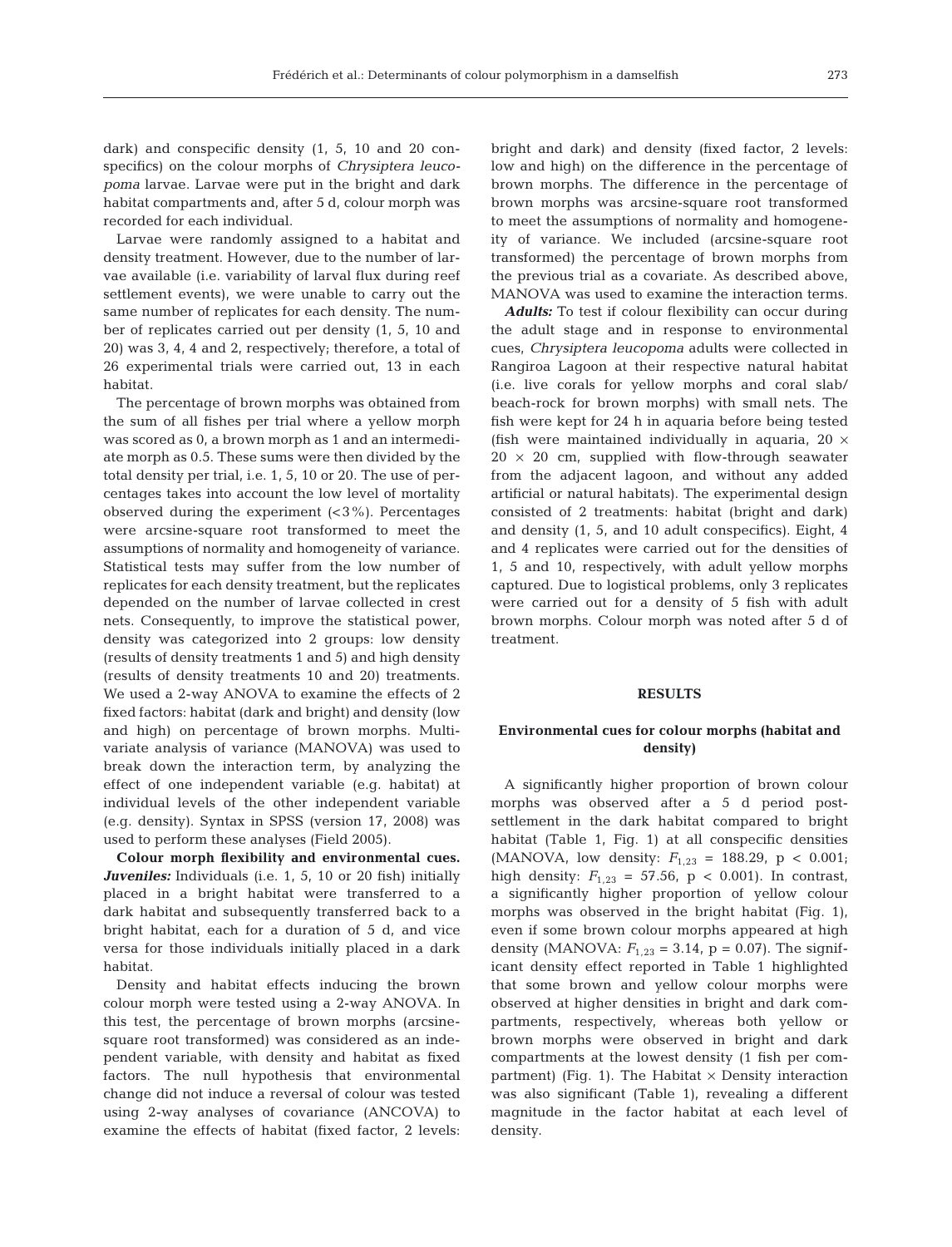Larvae were randomly assigned to a habitat and density treatment. However, due to the number of larvae available (i.e. variability of larval flux during reef settlement events), we were unable to carry out the same number of replicates for each density. The number of replicates carried out per density (1, 5, 10 and 20) was 3, 4, 4 and 2, respectively; therefore, a total of 26 experimental trials were carried out, 13 in each habitat.

The percentage of brown morphs was obtained from the sum of all fishes per trial where a yellow morph was scored as 0, a brown morph as 1 and an intermediate morph as 0.5. These sums were then divided by the total density per trial, i.e. 1, 5, 10 or 20. The use of percentages takes into account the low level of mortality observed during the experiment  $\left( < 3\% \right)$ . Percentages were arcsine-square root transformed to meet the assumptions of normality and homogeneity of variance. Statistical tests may suffer from the low number of replicates for each density treatment, but the replicates depended on the number of larvae collected in crest nets. Consequently, to improve the statistical power, density was categorized into 2 groups: low density (results of density treatments 1 and 5) and high density (results of density treatments 10 and 20) treatments. We used a 2-way ANOVA to examine the effects of 2 fixed factors: habitat (dark and bright) and density (low and high) on percentage of brown morphs. Multivariate analysis of variance (MANOVA) was used to break down the interaction term, by analyzing the effect of one independent variable (e.g. habitat) at individual levels of the other independent variable (e.g. density). Syntax in SPSS (version 17, 2008) was used to perform these analyses (Field 2005).

**Colour morph flexibility and environmental cues.** *Juveniles:* Individuals (i.e. 1, 5, 10 or 20 fish) initially placed in a bright habitat were transferred to a dark habitat and subsequently transferred back to a bright habitat, each for a duration of 5 d, and vice versa for those individuals initially placed in a dark habitat.

Density and habitat effects inducing the brown colour morph were tested using a 2-way ANOVA. In this test, the percentage of brown morphs (arcsinesquare root transformed) was considered as an independent variable, with density and habitat as fixed factors. The null hypothesis that environmental change did not induce a reversal of colour was tested using 2-way analyses of covariance (ANCOVA) to examine the effects of habitat (fixed factor, 2 levels:

bright and dark) and density (fixed factor, 2 levels: low and high) on the difference in the percentage of brown morphs. The difference in the percentage of brown morphs was arcsine-square root transformed to meet the assumptions of normality and homogeneity of variance. We included (arcsine-square root transformed) the percentage of brown morphs from the previous trial as a covariate. As described above, MANOVA was used to examine the interaction terms.

*Adults:* To test if colour flexibility can occur during the adult stage and in response to environmental cues, *Chrysiptera leucopoma* adults were collected in Rangiroa Lagoon at their respective natural habitat (i.e. live corals for yellow morphs and coral slab/ beach-rock for brown morphs) with small nets. The fish were kept for 24 h in aquaria before being tested (fish were maintained individually in aquaria,  $20 \times$  $20 \times 20$  cm, supplied with flow-through seawater from the adjacent lagoon, and without any added artificial or natural habitats). The experimental design consisted of 2 treatments: habitat (bright and dark) and density (1, 5, and 10 adult conspecifics). Eight, 4 and 4 replicates were carried out for the densities of 1, 5 and 10, respectively, with adult yellow morphs captured. Due to logistical problems, only 3 replicates were carried out for a density of 5 fish with adult brown morphs. Colour morph was noted after 5 d of treatment.

## **RESULTS**

# **Environmental cues for colour morphs (habitat and density)**

A significantly higher proportion of brown colour morphs was observed after a 5 d period postsettlement in the dark habitat compared to bright habitat (Table 1, Fig. 1) at all conspecific densities (MANOVA, low density:  $F_{1,23} = 188.29$ ,  $p < 0.001$ ; high density:  $F_{1,23} = 57.56$ ,  $p < 0.001$ ). In contrast, a significantly higher proportion of yellow colour morphs was observed in the bright habitat (Fig. 1), even if some brown colour morphs appeared at high density (MANOVA:  $F_{1,23} = 3.14$ ,  $p = 0.07$ ). The significant density effect reported in Table 1 highlighted that some brown and yellow colour morphs were observed at higher densities in bright and dark compartments, respectively, whereas both yellow or brown morphs were observed in bright and dark compartments at the lowest density (1 fish per compartment) (Fig. 1). The Habitat  $\times$  Density interaction was also significant (Table 1), revealing a different magnitude in the factor habitat at each level of density.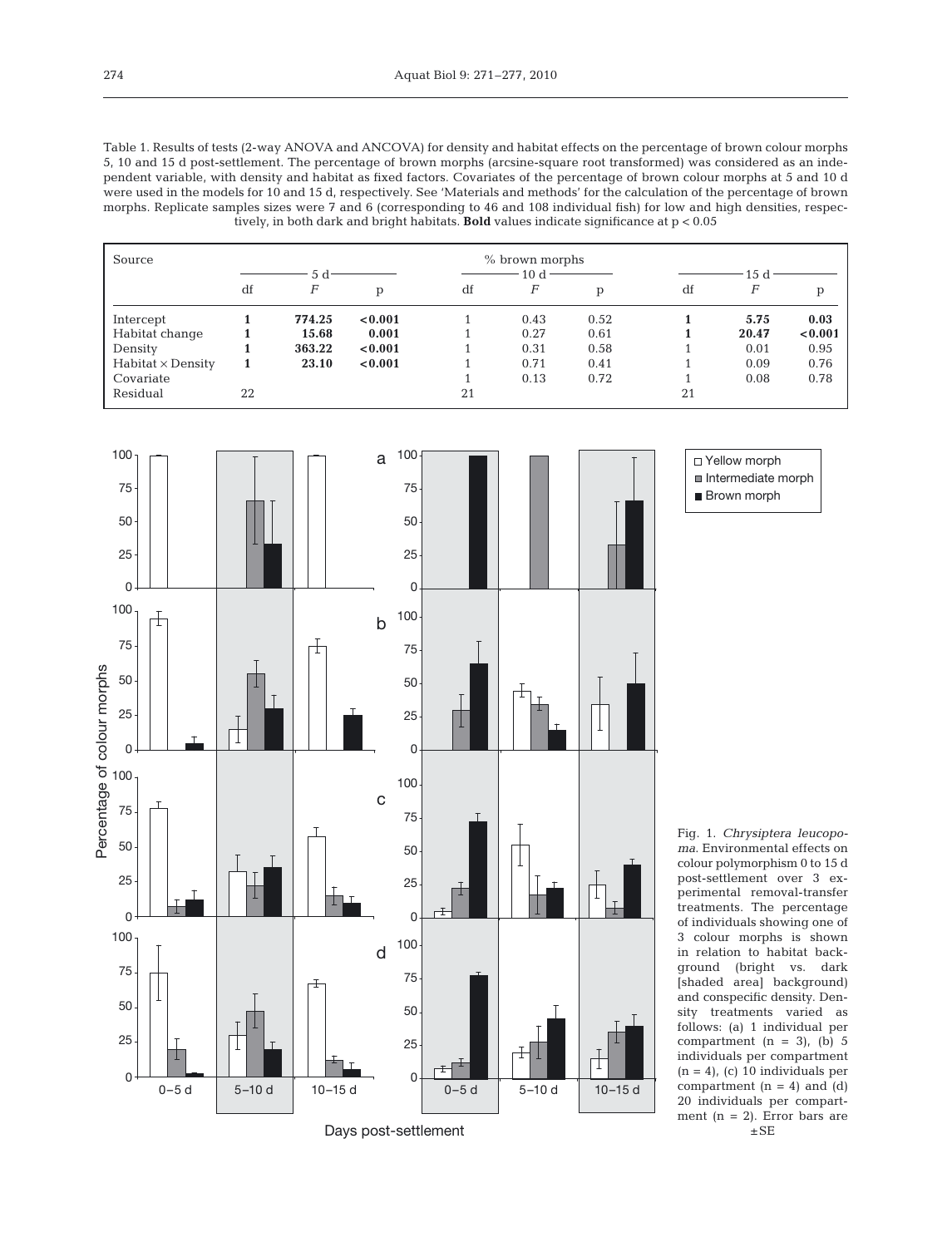Table 1. Results of tests (2-way ANOVA and ANCOVA) for density and habitat effects on the percentage of brown colour morphs 5, 10 and 15 d post-settlement. The percentage of brown morphs (arcsine-square root transformed) was considered as an independent variable, with density and habitat as fixed factors. Covariates of the percentage of brown colour morphs at 5 and 10 d were used in the models for 10 and 15 d, respectively. See 'Materials and methods' for the calculation of the percentage of brown morphs. Replicate samples sizes were 7 and 6 (corresponding to 46 and 108 individual fish) for low and high densities, respectively, in both dark and bright habitats. **Bold** values indicate significance at p < 0.05

| Source                   | % brown morphs |        |         |          |      |      |                 |       |         |  |
|--------------------------|----------------|--------|---------|----------|------|------|-----------------|-------|---------|--|
|                          | 5 d            |        |         | $10 d -$ |      |      | 15 <sub>d</sub> |       |         |  |
|                          | df             | F      | p       | df       | F    | р    | df              | $\,F$ | p       |  |
| Intercept                |                | 774.25 | < 0.001 |          | 0.43 | 0.52 |                 | 5.75  | 0.03    |  |
| Habitat change           |                | 15.68  | 0.001   |          | 0.27 | 0.61 |                 | 20.47 | < 0.001 |  |
| Density                  |                | 363.22 | < 0.001 |          | 0.31 | 0.58 |                 | 0.01  | 0.95    |  |
| $Habitat \times Density$ |                | 23.10  | < 0.001 |          | 0.71 | 0.41 |                 | 0.09  | 0.76    |  |
| Covariate                |                |        |         |          | 0.13 | 0.72 |                 | 0.08  | 0.78    |  |
| Residual                 | 22             |        |         | 21       |      |      | 21              |       |         |  |



□ Yellow morph Intermediate morph **Brown morph** 

Fig. 1. *Chrysiptera leucopoma*. Environmental effects on colour polymorphism 0 to 15 d post-settlement over 3 experimental removal-transfer treatments. The percentage of individuals showing one of 3 colour morphs is shown in relation to habitat background (bright vs. dark [shaded area] background) and conspecific density. Density treatments varied as follows: (a) 1 individual per compartment  $(n = 3)$ ,  $(b) 5$ individuals per compartment  $(n = 4)$ , (c) 10 individuals per compartment  $(n = 4)$  and  $(d)$ 20 individuals per compartment (n = 2). Error bars are  $\pm$  SE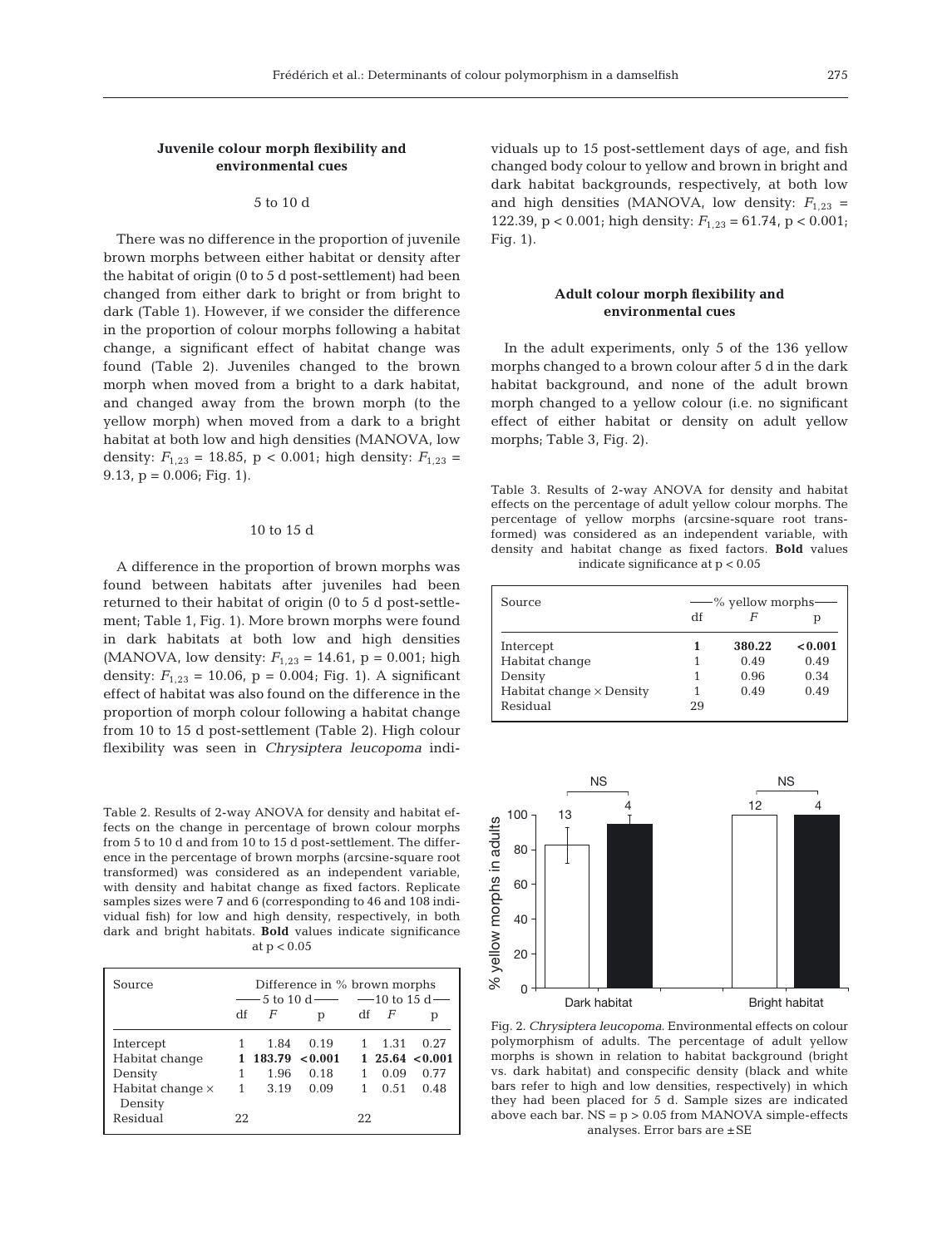## **Juvenile colour morph flexibility and environmental cues**

# 5 to 10 d

There was no difference in the proportion of juvenile brown morphs between either habitat or density after the habitat of origin (0 to 5 d post-settlement) had been changed from either dark to bright or from bright to dark (Table 1). However, if we consider the difference in the proportion of colour morphs following a habitat change, a significant effect of habitat change was found (Table 2). Juveniles changed to the brown morph when moved from a bright to a dark habitat, and changed away from the brown morph (to the yellow morph) when moved from a dark to a bright habitat at both low and high densities (MANOVA, low density:  $F_{1,23} = 18.85$ , p < 0.001; high density:  $F_{1,23} =$ 9.13,  $p = 0.006$ ; Fig. 1).

## 10 to 15 d

A difference in the proportion of brown morphs was found between habitats after juveniles had been returned to their habitat of origin (0 to 5 d post-settlement; Table 1, Fig. 1). More brown morphs were found in dark habitats at both low and high densities (MANOVA, low density:  $F_{1,23} = 14.61$ , p = 0.001; high density:  $F_{1,23} = 10.06$ ,  $p = 0.004$ ; Fig. 1). A significant effect of habitat was also found on the difference in the proportion of morph colour following a habitat change from 10 to 15 d post-settlement (Table 2). High colour flexibility was seen in *Chrysiptera leucopoma* indi-

Table 2. Results of 2-way ANOVA for density and habitat effects on the change in percentage of brown colour morphs from 5 to 10 d and from 10 to 15 d post-settlement. The difference in the percentage of brown morphs (arcsine-square root transformed) was considered as an independent variable, with density and habitat change as fixed factors. Replicate samples sizes were 7 and 6 (corresponding to 46 and 108 individual fish) for low and high density, respectively, in both dark and bright habitats. **Bold** values indicate significance at  $p < 0.05$ 

| Source                             |    |          | Difference in % brown morphs<br>— 5 to 10 d — $-10$ to 15 d — |        |      |                  |
|------------------------------------|----|----------|---------------------------------------------------------------|--------|------|------------------|
|                                    |    |          |                                                               |        |      |                  |
|                                    |    | $df$ $F$ | p                                                             | $df$ F |      | р                |
| Intercept                          |    | 1.84     | 0.19                                                          |        | 1.31 | 0.27             |
| Habitat change                     |    |          | $183.79 \le 0.001$                                            |        |      | 1, 25.64 < 0.001 |
| Density                            |    | 1.96     | 0.18                                                          |        | 0.09 | 0.77             |
| Habitat change $\times$<br>Density | 1  | 3.19     | 0.09                                                          |        | 0.51 | 0.48             |
| Residual                           | 22 |          |                                                               | 22     |      |                  |

viduals up to 15 post-settlement days of age, and fish changed body colour to yellow and brown in bright and dark habitat backgrounds, respectively, at both low and high densities (MANOVA, low density:  $F_{1,23}$  = 122.39,  $p < 0.001$ ; high density:  $F_{1,23} = 61.74$ ,  $p < 0.001$ ; Fig. 1).

# **Adult colour morph flexibility and environmental cues**

In the adult experiments, only 5 of the 136 yellow morphs changed to a brown colour after 5 d in the dark habitat background, and none of the adult brown morph changed to a yellow colour (i.e. no significant effect of either habitat or density on adult yellow morphs; Table 3, Fig. 2).

Table 3. Results of 2-way ANOVA for density and habitat effects on the percentage of adult yellow colour morphs. The percentage of yellow morphs (arcsine-square root transformed) was considered as an independent variable, with density and habitat change as fixed factors. **Bold** values indicate significance at p < 0.05

| Source                          | — % yellow morphs |        |         |  |  |
|---------------------------------|-------------------|--------|---------|--|--|
|                                 | df                |        |         |  |  |
| Intercept                       |                   | 380.22 | < 0.001 |  |  |
| Habitat change                  |                   | 0.49   | 0.49    |  |  |
| Density                         |                   | 0.96   | 0.34    |  |  |
| Habitat change $\times$ Density |                   | 0.49   | 0.49    |  |  |
| Residual                        | 29                |        |         |  |  |



Fig. 2. *Chrysiptera leucopoma*. Environmental effects on colour polymorphism of adults. The percentage of adult yellow morphs is shown in relation to habitat background (bright vs. dark habitat) and conspecific density (black and white bars refer to high and low densities, respectively) in which they had been placed for 5 d. Sample sizes are indicated above each bar.  $NS = p > 0.05$  from MANOVA simple-effects analyses. Error bars are ±SE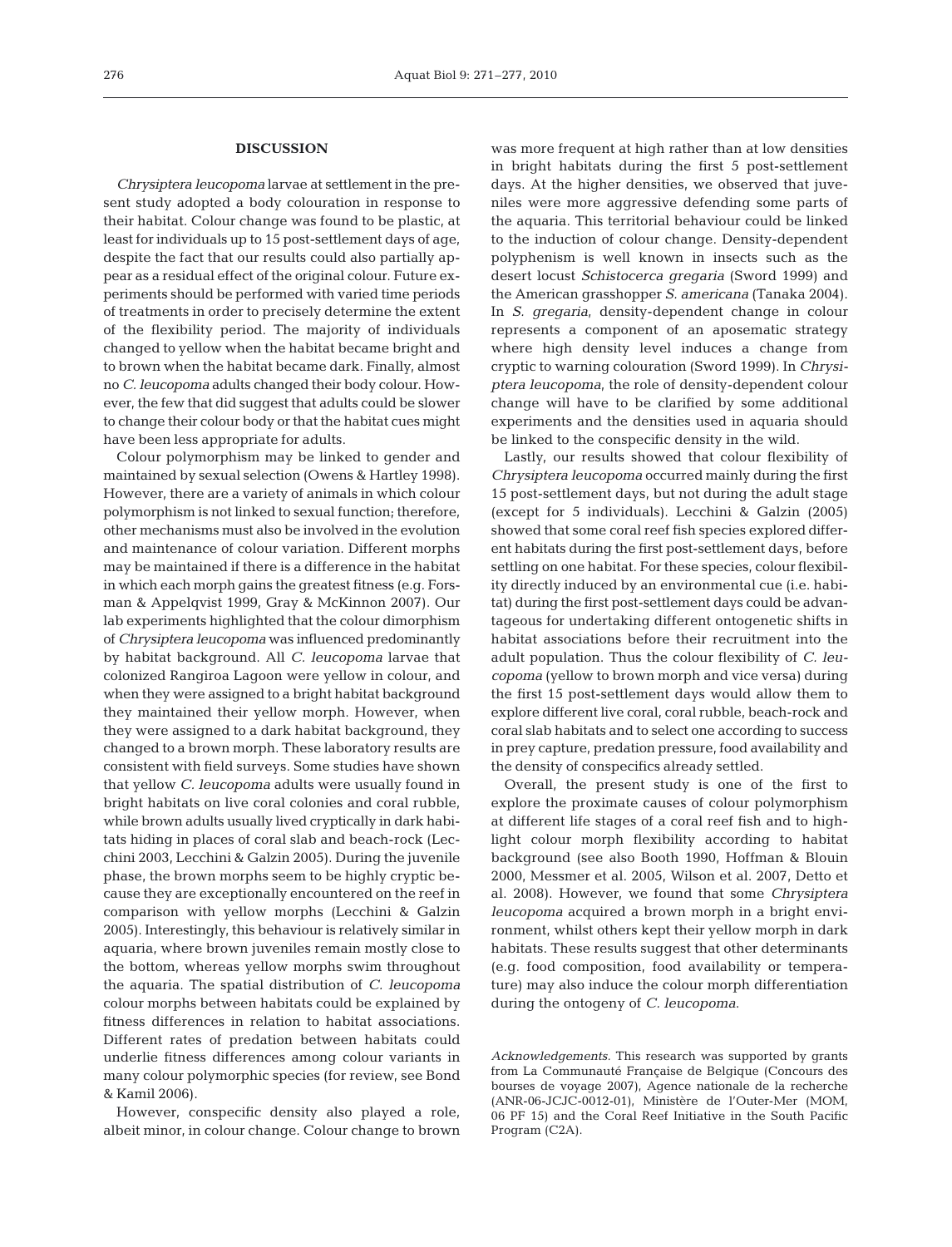#### **DISCUSSION**

*Chrysiptera leucopoma* larvae at settlement in the present study adopted a body colouration in response to their habitat. Colour change was found to be plastic, at least for individuals up to 15 post-settlement days of age, despite the fact that our results could also partially appear as a residual effect of the original colour. Future experiments should be performed with varied time periods of treatments in order to precisely determine the extent of the flexibility period. The majority of individuals changed to yellow when the habitat became bright and to brown when the habitat became dark. Finally, almost no *C. leucopoma* adults changed their body colour. However, the few that did suggest that adults could be slower to change their colour body or that the habitat cues might have been less appropriate for adults.

Colour polymorphism may be linked to gender and maintained by sexual selection (Owens & Hartley 1998). However, there are a variety of animals in which colour polymorphism is not linked to sexual function; therefore, other mechanisms must also be involved in the evolution and maintenance of colour variation. Different morphs may be maintained if there is a difference in the habitat in which each morph gains the greatest fitness (e.g. Forsman & Appelqvist 1999, Gray & McKinnon 2007). Our lab experiments highlighted that the colour dimorphism of *Chrysiptera leucopoma* was influenced predominantly by habitat background. All *C. leucopoma* larvae that colonized Rangiroa Lagoon were yellow in colour, and when they were assigned to a bright habitat background they maintained their yellow morph. However, when they were assigned to a dark habitat background, they changed to a brown morph. These laboratory results are consistent with field surveys. Some studies have shown that yellow *C. leucopoma* adults were usually found in bright habitats on live coral colonies and coral rubble, while brown adults usually lived cryptically in dark habitats hiding in places of coral slab and beach-rock (Lecchini 2003, Lecchini & Galzin 2005). During the juvenile phase, the brown morphs seem to be highly cryptic because they are exceptionally encountered on the reef in comparison with yellow morphs (Lecchini & Galzin 2005). Interestingly, this behaviour is relatively similar in aquaria, where brown juveniles remain mostly close to the bottom, whereas yellow morphs swim throughout the aquaria. The spatial distribution of *C. leucopoma* colour morphs between habitats could be explained by fitness differences in relation to habitat associations. Different rates of predation between habitats could underlie fitness differences among colour variants in many colour polymorphic species (for review, see Bond & Kamil 2006).

However, conspecific density also played a role, albeit minor, in colour change. Colour change to brown was more frequent at high rather than at low densities in bright habitats during the first 5 post-settlement days. At the higher densities, we observed that juveniles were more aggressive defending some parts of the aquaria. This territorial behaviour could be linked to the induction of colour change. Density-dependent polyphenism is well known in insects such as the desert locust *Schistocerca gregaria* (Sword 1999) and the American grasshopper *S. americana* (Tanaka 2004). In *S. gregaria*, density-dependent change in colour represents a component of an aposematic strategy where high density level induces a change from cryptic to warning colouration (Sword 1999). In *Chrysiptera leucopoma*, the role of density-dependent colour change will have to be clarified by some additional experiments and the densities used in aquaria should be linked to the conspecific density in the wild.

Lastly, our results showed that colour flexibility of *Chrysiptera leucopoma* occurred mainly during the first 15 post-settlement days, but not during the adult stage (except for 5 individuals). Lecchini & Galzin (2005) showed that some coral reef fish species explored different habitats during the first post-settlement days, before settling on one habitat. For these species, colour flexibility directly induced by an environmental cue (i.e. habitat) during the first post-settlement days could be advantageous for undertaking different ontogenetic shifts in habitat associations before their recruitment into the adult population. Thus the colour flexibility of *C. leucopoma* (yellow to brown morph and vice versa) during the first 15 post-settlement days would allow them to explore different live coral, coral rubble, beach-rock and coral slab habitats and to select one according to success in prey capture, predation pressure, food availability and the density of conspecifics already settled.

Overall, the present study is one of the first to explore the proximate causes of colour polymorphism at different life stages of a coral reef fish and to highlight colour morph flexibility according to habitat background (see also Booth 1990, Hoffman & Blouin 2000, Messmer et al. 2005, Wilson et al. 2007, Detto et al. 2008). However, we found that some *Chrysiptera leucopoma* acquired a brown morph in a bright environment, whilst others kept their yellow morph in dark habitats. These results suggest that other determinants (e.g. food composition, food availability or temperature) may also induce the colour morph differentiation during the ontogeny of *C. leucopoma*.

*Acknowledgements.* This research was supported by grants from La Communauté Française de Belgique (Concours des bourses de voyage 2007), Agence nationale de la recherche (ANR-06-JCJC-0012-01), Ministère de l'Outer-Mer (MOM, 06 PF 15) and the Coral Reef Initiative in the South Pacific Program (C2A).